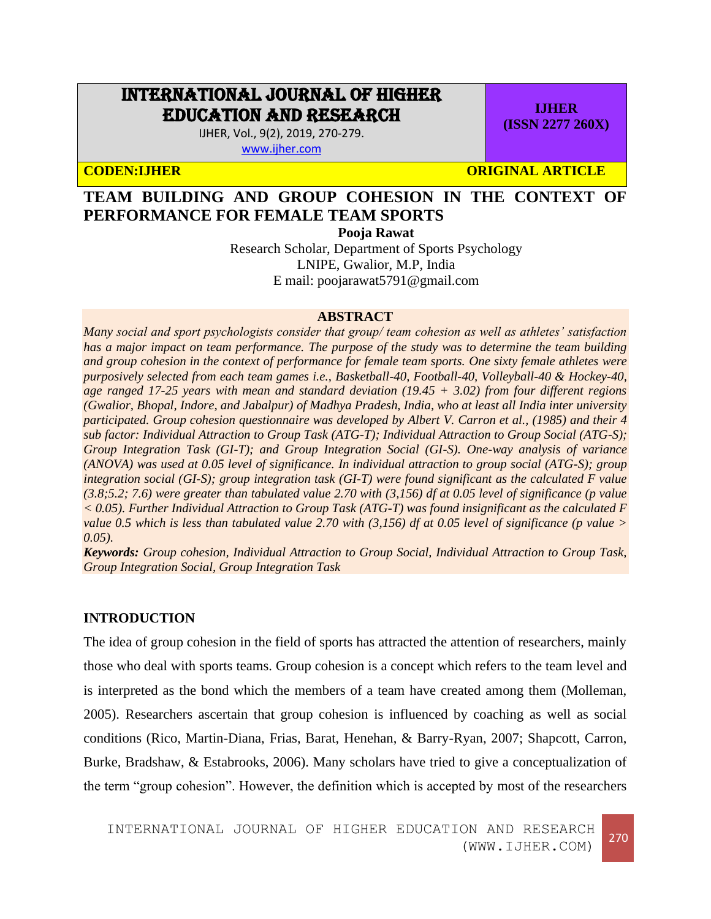# INTERNATIONAL JOURNAL OF HIGHER EDUCATION AND RESEARCH

IJHER, Vol., 9(2), 2019, 270-279. [www.ijher.com](http://www.ijher.com/)

**CODEN:IJHER ORIGINAL ARTICLE** 

**IJHER (ISSN 2277 260X)**

# **TEAM BUILDING AND GROUP COHESION IN THE CONTEXT OF PERFORMANCE FOR FEMALE TEAM SPORTS**

**Pooja Rawat**

Research Scholar, Department of Sports Psychology LNIPE, Gwalior, M.P, India E mail: poojarawat5791@gmail.com

#### **ABSTRACT**

*Many social and sport psychologists consider that group/ team cohesion as well as athletes' satisfaction has a major impact on team performance. The purpose of the study was to determine the team building and group cohesion in the context of performance for female team sports. One sixty female athletes were purposively selected from each team games i.e., Basketball-40, Football-40, Volleyball-40 & Hockey-40, age ranged 17-25 years with mean and standard deviation (19.45 + 3.02) from four different regions (Gwalior, Bhopal, Indore, and Jabalpur) of Madhya Pradesh, India, who at least all India inter university participated. Group cohesion questionnaire was developed by Albert V. Carron et al., (1985) and their 4 sub factor: Individual Attraction to Group Task (ATG-T); Individual Attraction to Group Social (ATG-S); Group Integration Task (GI-T); and Group Integration Social (GI-S). One-way analysis of variance (ANOVA) was used at 0.05 level of significance. In individual attraction to group social (ATG-S); group integration social (GI-S); group integration task (GI-T) were found significant as the calculated F value (3.8;5.2; 7.6) were greater than tabulated value 2.70 with (3,156) df at 0.05 level of significance (p value < 0.05). Further Individual Attraction to Group Task (ATG-T) was found insignificant as the calculated F value 0.5 which is less than tabulated value 2.70 with (3,156) df at 0.05 level of significance (p value > 0.05).* 

*Keywords: Group cohesion, Individual Attraction to Group Social, Individual Attraction to Group Task, Group Integration Social, Group Integration Task*

### **INTRODUCTION**

The idea of group cohesion in the field of sports has attracted the attention of researchers, mainly those who deal with sports teams. Group cohesion is a concept which refers to the team level and is interpreted as the bond which the members of a team have created among them (Molleman, 2005). Researchers ascertain that group cohesion is influenced by coaching as well as social conditions (Rico, Martin-Diana, Frias, Barat, Henehan, & Barry-Ryan, 2007; Shapcott, Carron, Burke, Bradshaw, & Estabrooks, 2006). Many scholars have tried to give a conceptualization of the term "group cohesion". However, the definition which is accepted by most of the researchers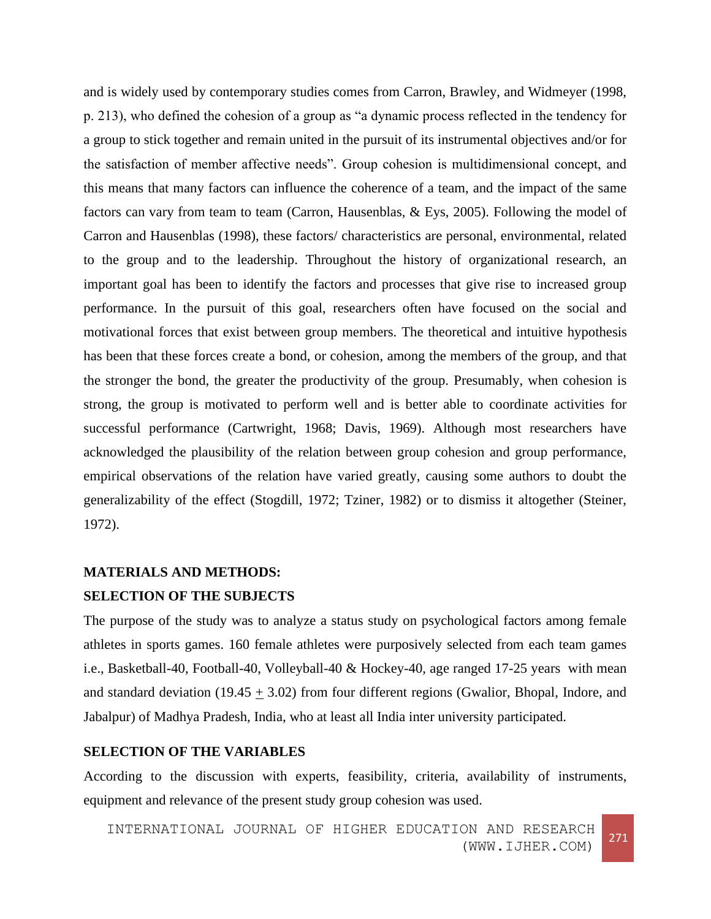and is widely used by contemporary studies comes from Carron, Brawley, and Widmeyer (1998, p. 213), who defined the cohesion of a group as "a dynamic process reflected in the tendency for a group to stick together and remain united in the pursuit of its instrumental objectives and/or for the satisfaction of member affective needs". Group cohesion is multidimensional concept, and this means that many factors can influence the coherence of a team, and the impact of the same factors can vary from team to team (Carron, Hausenblas, & Eys, 2005). Following the model of Carron and Hausenblas (1998), these factors/ characteristics are personal, environmental, related to the group and to the leadership. Throughout the history of organizational research, an important goal has been to identify the factors and processes that give rise to increased group performance. In the pursuit of this goal, researchers often have focused on the social and motivational forces that exist between group members. The theoretical and intuitive hypothesis has been that these forces create a bond, or cohesion, among the members of the group, and that the stronger the bond, the greater the productivity of the group. Presumably, when cohesion is strong, the group is motivated to perform well and is better able to coordinate activities for successful performance (Cartwright, 1968; Davis, 1969). Although most researchers have acknowledged the plausibility of the relation between group cohesion and group performance, empirical observations of the relation have varied greatly, causing some authors to doubt the generalizability of the effect (Stogdill, 1972; Tziner, 1982) or to dismiss it altogether (Steiner, 1972).

# **MATERIALS AND METHODS:**

# **SELECTION OF THE SUBJECTS**

The purpose of the study was to analyze a status study on psychological factors among female athletes in sports games. 160 female athletes were purposively selected from each team games i.e., Basketball-40, Football-40, Volleyball-40 & Hockey-40, age ranged 17-25 years with mean and standard deviation (19.45  $\pm$  3.02) from four different regions (Gwalior, Bhopal, Indore, and Jabalpur) of Madhya Pradesh, India, who at least all India inter university participated.

### **SELECTION OF THE VARIABLES**

According to the discussion with experts, feasibility, criteria, availability of instruments, equipment and relevance of the present study group cohesion was used.

INTERNATIONAL JOURNAL OF HIGHER EDUCATION AND RESEARCH (WWW.IJHER.COM)<sup>271</sup>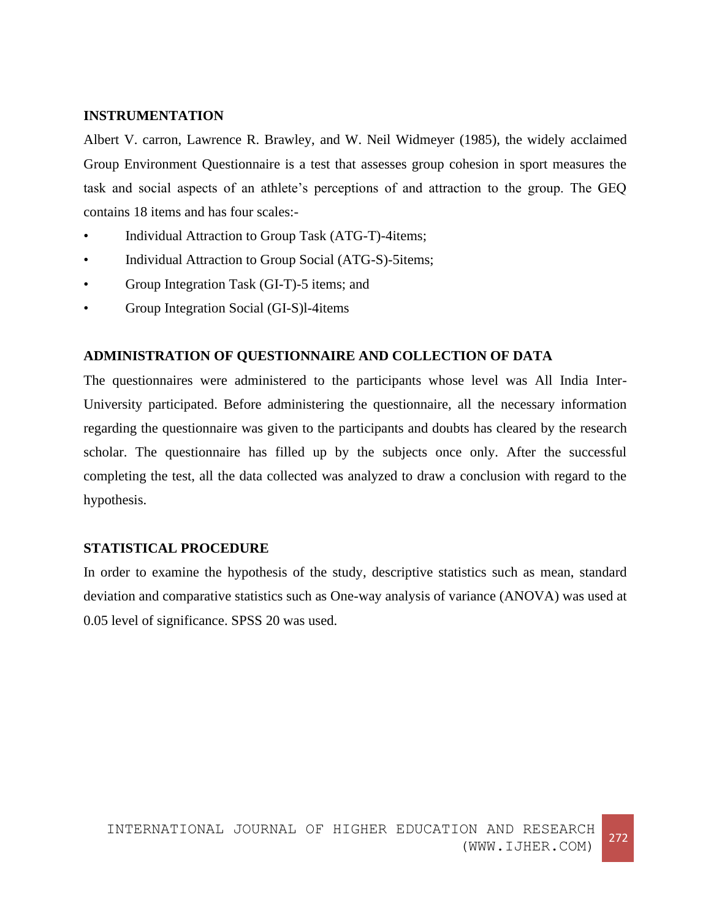## **INSTRUMENTATION**

Albert V. carron, Lawrence R. Brawley, and W. Neil Widmeyer (1985), the widely acclaimed Group Environment Questionnaire is a test that assesses group cohesion in sport measures the task and social aspects of an athlete's perceptions of and attraction to the group. The GEQ contains 18 items and has four scales:-

- Individual Attraction to Group Task (ATG-T)-4items;
- Individual Attraction to Group Social (ATG-S)-5items;
- Group Integration Task (GI-T)-5 items; and
- Group Integration Social (GI-S)l-4items

# **ADMINISTRATION OF QUESTIONNAIRE AND COLLECTION OF DATA**

The questionnaires were administered to the participants whose level was All India Inter-University participated. Before administering the questionnaire, all the necessary information regarding the questionnaire was given to the participants and doubts has cleared by the research scholar. The questionnaire has filled up by the subjects once only. After the successful completing the test, all the data collected was analyzed to draw a conclusion with regard to the hypothesis.

### **STATISTICAL PROCEDURE**

In order to examine the hypothesis of the study, descriptive statistics such as mean, standard deviation and comparative statistics such as One-way analysis of variance (ANOVA) was used at 0.05 level of significance. SPSS 20 was used.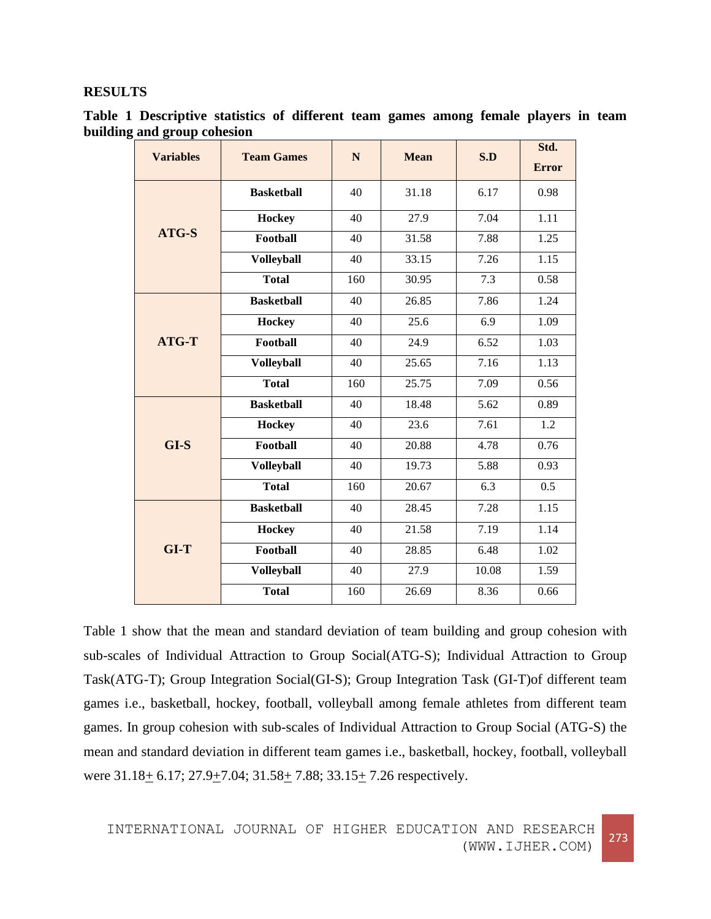## **RESULTS**

| Table 1 Descriptive statistics of different team games among female players in team |  |  |  |  |  |
|-------------------------------------------------------------------------------------|--|--|--|--|--|
| building and group cohesion                                                         |  |  |  |  |  |

| <b>Variables</b> | <b>Team Games</b> | N   | <b>Mean</b> | S.D              | Std.<br><b>Error</b> |
|------------------|-------------------|-----|-------------|------------------|----------------------|
|                  | <b>Basketball</b> | 40  | 31.18       | 6.17             | 0.98                 |
|                  | <b>Hockey</b>     | 40  | 27.9        | 7.04             | 1.11                 |
| ATG-S            | Football          | 40  | 31.58       | 7.88             | 1.25                 |
|                  | <b>Volleyball</b> | 40  | 33.15       | 7.26             | 1.15                 |
|                  | <b>Total</b>      | 160 | 30.95       | 7.3              | 0.58                 |
|                  | <b>Basketball</b> | 40  | 26.85       | 7.86             | 1.24                 |
|                  | <b>Hockey</b>     | 40  | 25.6        | 6.9              | 1.09                 |
| <b>ATG-T</b>     | Football          | 40  | 24.9        | 6.52             | 1.03                 |
|                  | <b>Volleyball</b> | 40  | 25.65       | 7.16             | 1.13                 |
|                  | <b>Total</b>      | 160 | 25.75       | 7.09             | 0.56                 |
|                  | <b>Basketball</b> | 40  | 18.48       | 5.62             | 0.89                 |
|                  | <b>Hockey</b>     | 40  | 23.6        | 7.61             | 1.2                  |
| $GI-S$           | <b>Football</b>   | 40  | 20.88       | 4.78             | 0.76                 |
|                  | <b>Volleyball</b> | 40  | 19.73       | 5.88             | 0.93                 |
|                  | <b>Total</b>      | 160 | 20.67       | $\overline{6.3}$ | $\overline{0.5}$     |
|                  | <b>Basketball</b> | 40  | 28.45       | 7.28             | 1.15                 |
|                  | <b>Hockey</b>     | 40  | 21.58       | 7.19             | 1.14                 |
| $GI-T$           | Football          | 40  | 28.85       | 6.48             | 1.02                 |
|                  | <b>Volleyball</b> | 40  | 27.9        | 10.08            | 1.59                 |
|                  | <b>Total</b>      | 160 | 26.69       | 8.36             | 0.66                 |

Table 1 show that the mean and standard deviation of team building and group cohesion with sub-scales of Individual Attraction to Group Social(ATG-S); Individual Attraction to Group Task(ATG-T); Group Integration Social(GI-S); Group Integration Task (GI-T)of different team games i.e., basketball, hockey, football, volleyball among female athletes from different team games. In group cohesion with sub-scales of Individual Attraction to Group Social (ATG-S) the mean and standard deviation in different team games i.e., basketball, hockey, football, volleyball were  $31.18 \pm 6.17$ ;  $27.9 \pm 7.04$ ;  $31.58 \pm 7.88$ ;  $33.15 \pm 7.26$  respectively.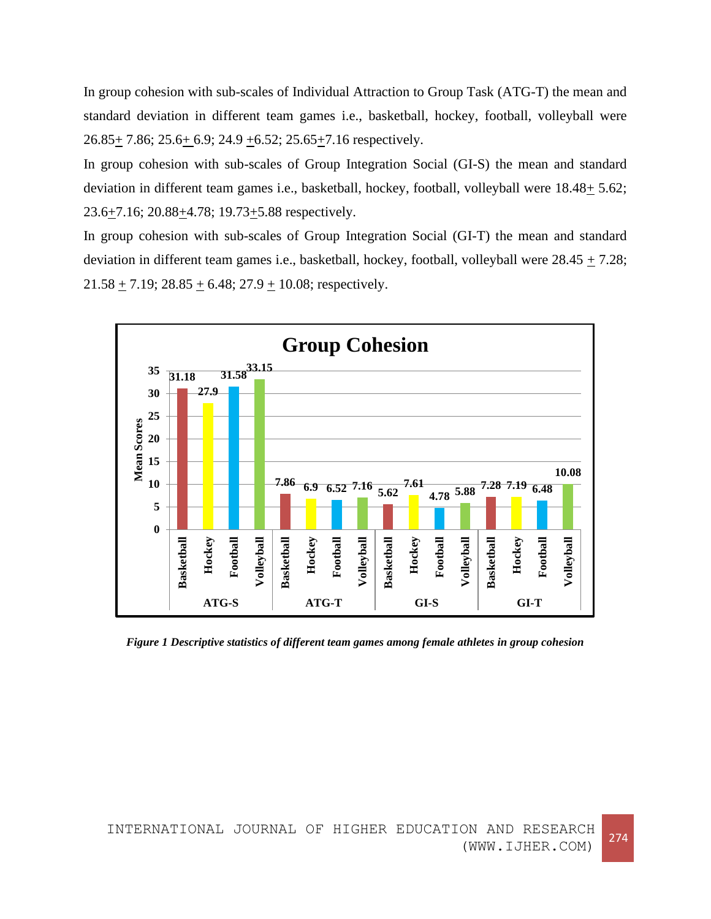In group cohesion with sub-scales of Individual Attraction to Group Task (ATG-T) the mean and standard deviation in different team games i.e., basketball, hockey, football, volleyball were 26.85+ 7.86; 25.6+ 6.9; 24.9 +6.52; 25.65+7.16 respectively.

In group cohesion with sub-scales of Group Integration Social (GI-S) the mean and standard deviation in different team games i.e., basketball, hockey, football, volleyball were 18.48+ 5.62;  $23.6\pm7.16$ ;  $20.88\pm4.78$ ;  $19.73\pm5.88$  respectively.

In group cohesion with sub-scales of Group Integration Social (GI-T) the mean and standard deviation in different team games i.e., basketball, hockey, football, volleyball were  $28.45 \pm 7.28$ ; 21.58  $\pm$  7.19; 28.85  $\pm$  6.48; 27.9  $\pm$  10.08; respectively.



*Figure 1 Descriptive statistics of different team games among female athletes in group cohesion*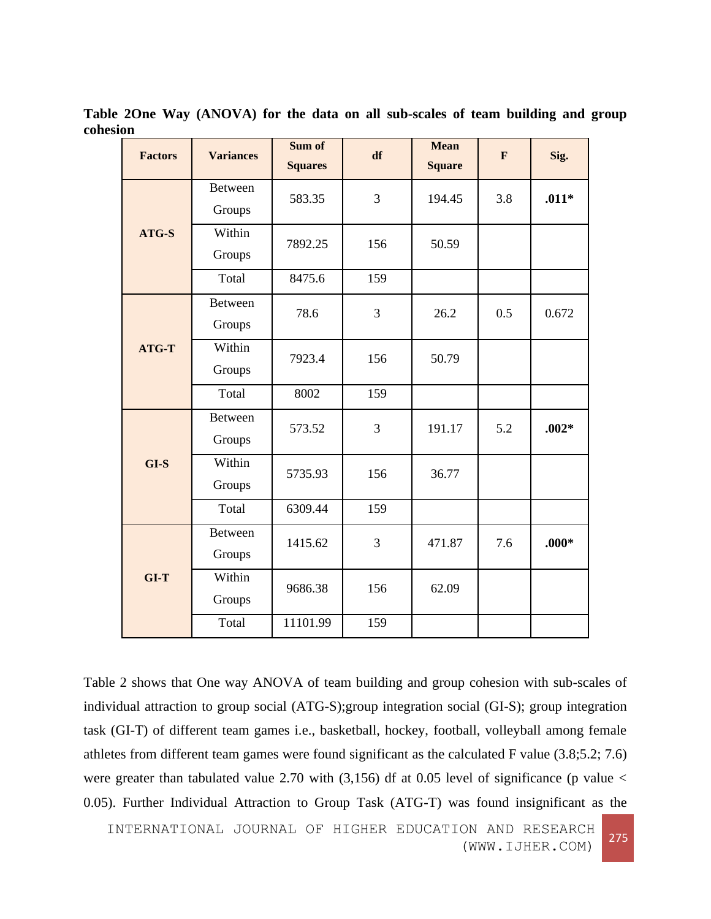| <b>Factors</b> | <b>Variances</b>         | Sum of<br><b>Squares</b> | df  | <b>Mean</b><br><b>Square</b> | F   | Sig.    |
|----------------|--------------------------|--------------------------|-----|------------------------------|-----|---------|
|                | <b>Between</b><br>Groups | 583.35                   | 3   | 194.45                       | 3.8 | $.011*$ |
| ATG-S          | Within<br>Groups         | 7892.25                  | 156 | 50.59                        |     |         |
|                | Total                    | 8475.6                   | 159 |                              |     |         |
|                | <b>Between</b><br>Groups | 78.6                     | 3   | 26.2                         | 0.5 | 0.672   |
| ATG-T          | Within<br>Groups         | 7923.4                   | 156 | 50.79                        |     |         |
|                | Total                    | 8002                     | 159 |                              |     |         |
|                | <b>Between</b><br>Groups | 573.52                   | 3   | 191.17                       | 5.2 | $.002*$ |
| $GI-S$         | Within<br>Groups         | 5735.93                  | 156 | 36.77                        |     |         |
|                | Total                    | 6309.44                  | 159 |                              |     |         |
|                | Between<br>Groups        | 1415.62                  | 3   | 471.87                       | 7.6 | $.000*$ |
| $GI-T$         | Within<br>Groups         | 9686.38                  | 156 | 62.09                        |     |         |
|                | Total                    | 11101.99                 | 159 |                              |     |         |

**Table 2One Way (ANOVA) for the data on all sub-scales of team building and group cohesion**

Table 2 shows that One way ANOVA of team building and group cohesion with sub-scales of individual attraction to group social (ATG-S);group integration social (GI-S); group integration task (GI-T) of different team games i.e., basketball, hockey, football, volleyball among female athletes from different team games were found significant as the calculated F value (3.8;5.2; 7.6) were greater than tabulated value 2.70 with  $(3,156)$  df at 0.05 level of significance (p value < 0.05). Further Individual Attraction to Group Task (ATG-T) was found insignificant as the

INTERNATIONAL JOURNAL OF HIGHER EDUCATION AND RESEARCH (WWW.IJHER.COM)<sup>275</sup>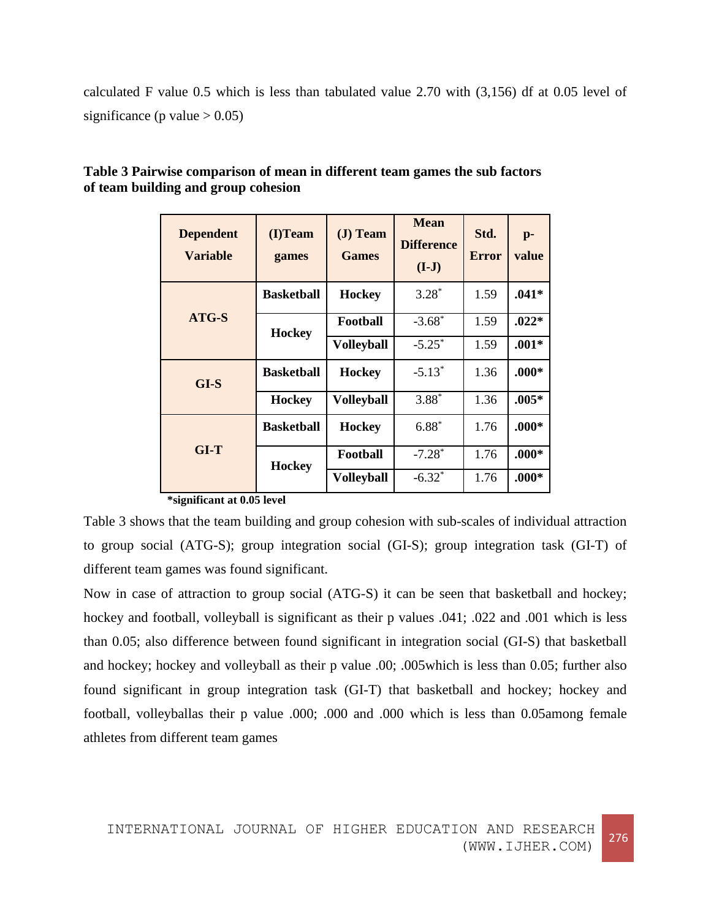calculated F value 0.5 which is less than tabulated value 2.70 with (3,156) df at 0.05 level of significance (p value  $> 0.05$ )

| <b>Dependent</b><br><b>Variable</b> | (I)Team<br>games  | $J)$ Team<br><b>Games</b> | <b>Mean</b><br><b>Difference</b><br>$(I-J)$ | Std.<br><b>Error</b> | $p-$<br>value |
|-------------------------------------|-------------------|---------------------------|---------------------------------------------|----------------------|---------------|
|                                     | <b>Basketball</b> | <b>Hockey</b>             | $3.28*$                                     | 1.59                 | $.041*$       |
| ATG-S                               | <b>Hockey</b>     | Football                  | $-3.68*$                                    | 1.59                 | $.022*$       |
|                                     |                   | <b>Volleyball</b>         | $-5.25^*$                                   | 1.59                 | $.001*$       |
| $GI-S$                              | <b>Basketball</b> | <b>Hockey</b>             | $-5.13*$                                    | 1.36                 | $.000*$       |
|                                     | <b>Hockey</b>     | <b>Volleyball</b>         | $3.88*$                                     | 1.36                 | $.005*$       |
|                                     | <b>Basketball</b> | <b>Hockey</b>             | $6.88*$                                     | 1.76                 | $.000*$       |
| GLT                                 | <b>Hockey</b>     | Football                  | $-7.28*$                                    | 1.76                 | $.000*$       |
|                                     |                   | <b>Volleyball</b>         | $-6.32^*$                                   | 1.76                 | $.000*$       |

# **Table 3 Pairwise comparison of mean in different team games the sub factors of team building and group cohesion**

**\*significant at 0.05 level**

Table 3 shows that the team building and group cohesion with sub-scales of individual attraction to group social (ATG-S); group integration social (GI-S); group integration task (GI-T) of different team games was found significant.

Now in case of attraction to group social (ATG-S) it can be seen that basketball and hockey; hockey and football, volleyball is significant as their p values .041; .022 and .001 which is less than 0.05; also difference between found significant in integration social (GI-S) that basketball and hockey; hockey and volleyball as their p value .00; .005which is less than 0.05; further also found significant in group integration task (GI-T) that basketball and hockey; hockey and football, volleyballas their p value .000; .000 and .000 which is less than 0.05among female athletes from different team games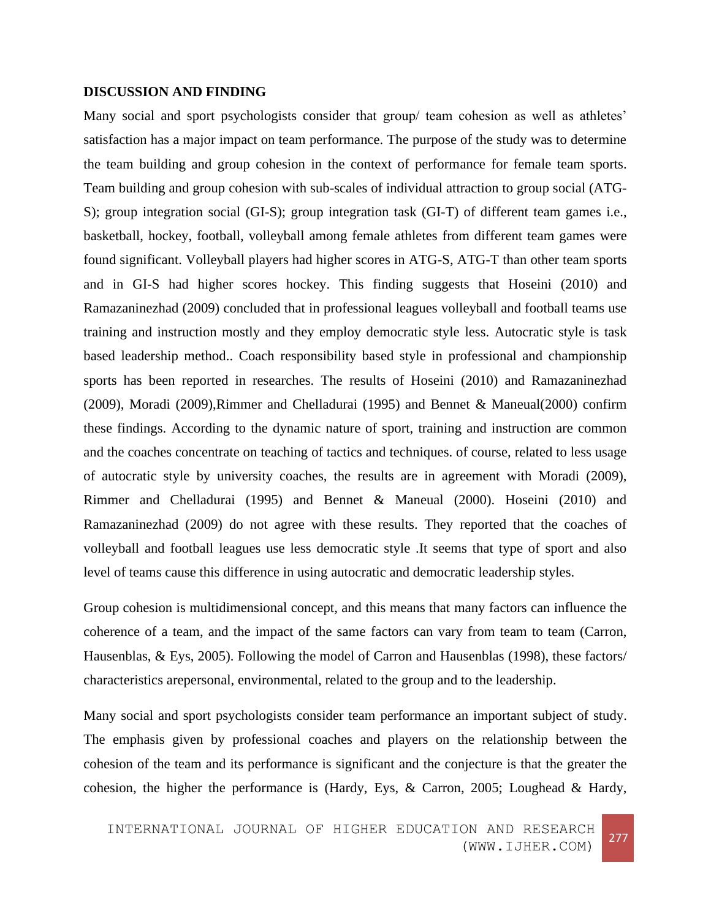#### **DISCUSSION AND FINDING**

Many social and sport psychologists consider that group/ team cohesion as well as athletes' satisfaction has a major impact on team performance. The purpose of the study was to determine the team building and group cohesion in the context of performance for female team sports. Team building and group cohesion with sub-scales of individual attraction to group social (ATG-S); group integration social (GI-S); group integration task (GI-T) of different team games i.e., basketball, hockey, football, volleyball among female athletes from different team games were found significant. Volleyball players had higher scores in ATG-S, ATG-T than other team sports and in GI-S had higher scores hockey. This finding suggests that Hoseini (2010) and Ramazaninezhad (2009) concluded that in professional leagues volleyball and football teams use training and instruction mostly and they employ democratic style less. Autocratic style is task based leadership method.. Coach responsibility based style in professional and championship sports has been reported in researches. The results of Hoseini (2010) and Ramazaninezhad (2009), Moradi (2009),Rimmer and Chelladurai (1995) and Bennet & Maneual(2000) confirm these findings. According to the dynamic nature of sport, training and instruction are common and the coaches concentrate on teaching of tactics and techniques. of course, related to less usage of autocratic style by university coaches, the results are in agreement with Moradi (2009), Rimmer and Chelladurai (1995) and Bennet & Maneual (2000). Hoseini (2010) and Ramazaninezhad (2009) do not agree with these results. They reported that the coaches of volleyball and football leagues use less democratic style .It seems that type of sport and also level of teams cause this difference in using autocratic and democratic leadership styles.

Group cohesion is multidimensional concept, and this means that many factors can influence the coherence of a team, and the impact of the same factors can vary from team to team (Carron, Hausenblas, & Eys, 2005). Following the model of Carron and Hausenblas (1998), these factors/ characteristics arepersonal, environmental, related to the group and to the leadership.

Many social and sport psychologists consider team performance an important subject of study. The emphasis given by professional coaches and players on the relationship between the cohesion of the team and its performance is significant and the conjecture is that the greater the cohesion, the higher the performance is (Hardy, Eys, & Carron, 2005; Loughead & Hardy,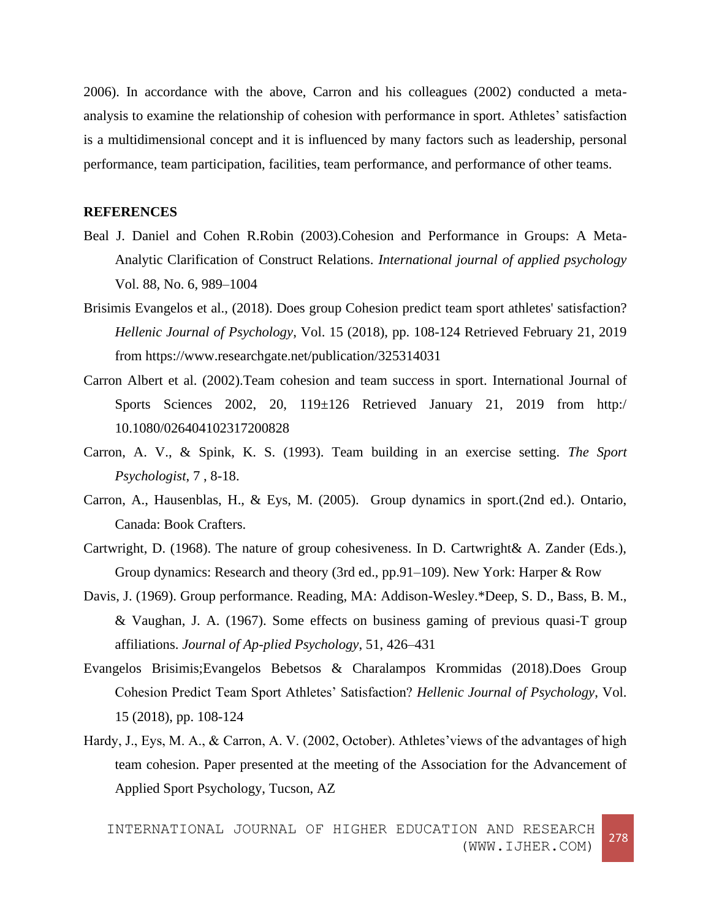2006). In accordance with the above, Carron and his colleagues (2002) conducted a metaanalysis to examine the relationship of cohesion with performance in sport. Athletes' satisfaction is a multidimensional concept and it is influenced by many factors such as leadership, personal performance, team participation, facilities, team performance, and performance of other teams.

#### **REFERENCES**

- Beal J. Daniel and Cohen R.Robin (2003).Cohesion and Performance in Groups: A Meta-Analytic Clarification of Construct Relations. *International journal of applied psychology* Vol. 88, No. 6, 989–1004
- Brisimis Evangelos et al., (2018). Does group Cohesion predict team sport athletes' satisfaction? *Hellenic Journal of Psychology*, Vol. 15 (2018), pp. 108-124 Retrieved February 21, 2019 from https://www.researchgate.net/publication/325314031
- Carron Albert et al. (2002).Team cohesion and team success in sport. International Journal of Sports Sciences 2002, 20, 119±126 Retrieved January 21, 2019 from http:/ 10.1080/026404102317200828
- Carron, A. V., & Spink, K. S. (1993). Team building in an exercise setting. *The Sport Psychologist*, 7 , 8-18.
- Carron, A., Hausenblas, H., & Eys, M. (2005). Group dynamics in sport.(2nd ed.). Ontario, Canada: Book Crafters.
- Cartwright, D. (1968). The nature of group cohesiveness. In D. Cartwright& A. Zander (Eds.), Group dynamics: Research and theory (3rd ed., pp.91–109). New York: Harper & Row
- Davis, J. (1969). Group performance. Reading, MA: Addison-Wesley.\*Deep, S. D., Bass, B. M., & Vaughan, J. A. (1967). Some effects on business gaming of previous quasi-T group affiliations. *Journal of Ap-plied Psychology*, 51, 426–431
- Evangelos Brisimis;Evangelos Bebetsos & Charalampos Krommidas (2018).Does Group Cohesion Predict Team Sport Athletes' Satisfaction? *Hellenic Journal of Psychology*, Vol. 15 (2018), pp. 108-124
- Hardy, J., Eys, M. A., & Carron, A. V. (2002, October). Athletes'views of the advantages of high team cohesion. Paper presented at the meeting of the Association for the Advancement of Applied Sport Psychology, Tucson, AZ